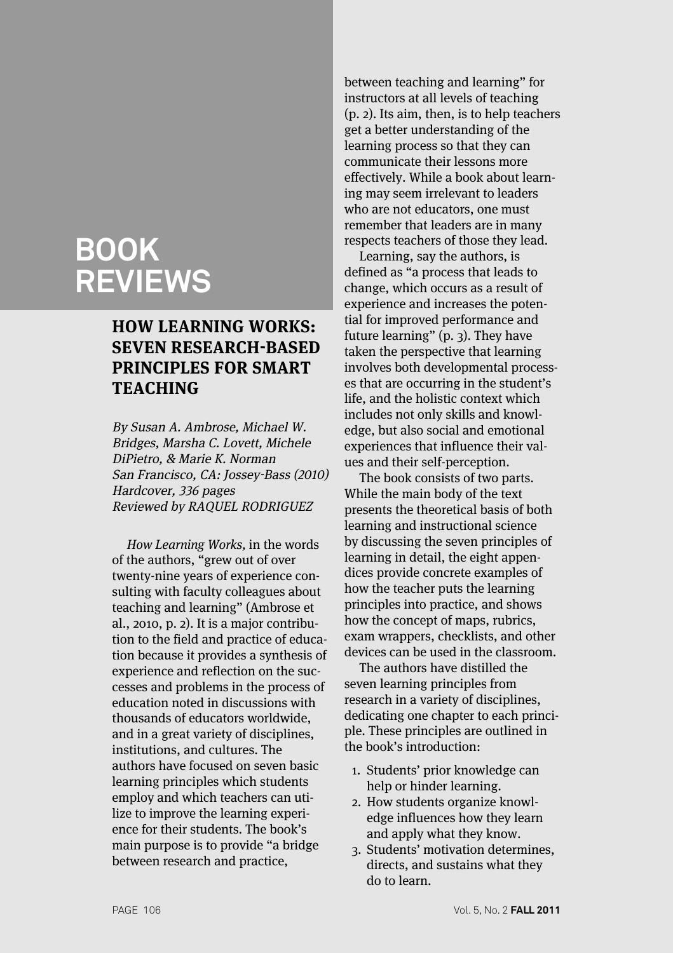# **BOOK REVIEWS**

# **HOW LEARNING WORKS: SEVEN RESEARCH-BASED PRINCIPLES FOR SMART TEACHING**

By Susan A. Ambrose, Michael W. Bridges, Marsha C. Lovett, Michele DiPietro, & Marie K. Norman San Francisco, CA: Jossey-Bass (2010) Hardcover, 336 pages Reviewed by RAQUEL RODRIGUEZ

How Learning Works, in the words of the authors, "grew out of over twenty-nine years of experience consulting with faculty colleagues about teaching and learning" (Ambrose et al., 2010, p. 2). It is a major contribution to the field and practice of education because it provides a synthesis of experience and reflection on the successes and problems in the process of education noted in discussions with thousands of educators worldwide, and in a great variety of disciplines, institutions, and cultures. The authors have focused on seven basic learning principles which students employ and which teachers can utilize to improve the learning experience for their students. The book's main purpose is to provide "a bridge between research and practice,

between teaching and learning" for instructors at all levels of teaching (p. 2). Its aim, then, is to help teachers get a better understanding of the learning process so that they can communicate their lessons more effectively. While a book about learning may seem irrelevant to leaders who are not educators, one must remember that leaders are in many respects teachers of those they lead.

Learning, say the authors, is defined as "a process that leads to change, which occurs as a result of experience and increases the potential for improved performance and future learning" (p. 3). They have taken the perspective that learning involves both developmental processes that are occurring in the student's life, and the holistic context which includes not only skills and knowledge, but also social and emotional experiences that influence their values and their self-perception.

The book consists of two parts. While the main body of the text presents the theoretical basis of both learning and instructional science by discussing the seven principles of learning in detail, the eight appendices provide concrete examples of how the teacher puts the learning principles into practice, and shows how the concept of maps, rubrics, exam wrappers, checklists, and other devices can be used in the classroom.

The authors have distilled the seven learning principles from research in a variety of disciplines, dedicating one chapter to each principle. These principles are outlined in the book's introduction:

- 1. Students' prior knowledge can help or hinder learning.
- 2. How students organize knowledge influences how they learn and apply what they know.
- 3. Students' motivation determines, directs, and sustains what they do to learn.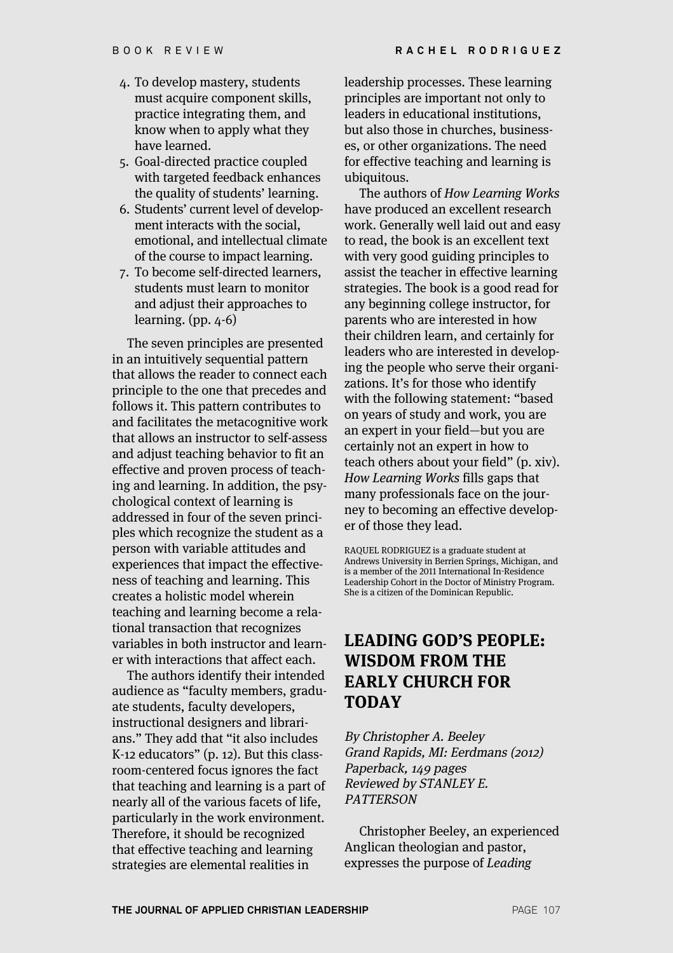- 4. To develop mastery, students must acquire component skills, practice integrating them, and know when to apply what they have learned.
- 5. Goal-directed practice coupled with targeted feedback enhances the quality of students' learning.
- 6. Students' current level of development interacts with the social, emotional, and intellectual climate of the course to impact learning.
- 7. To become self-directed learners, students must learn to monitor and adjust their approaches to learning. (pp. 4-6)

The seven principles are presented in an intuitively sequential pattern that allows the reader to connect each principle to the one that precedes and follows it. This pattern contributes to and facilitates the metacognitive work that allows an instructor to self-assess and adjust teaching behavior to fit an effective and proven process of teaching and learning. In addition, the psychological context of learning is addressed in four of the seven principles which recognize the student as a person with variable attitudes and experiences that impact the effectiveness of teaching and learning. This creates a holistic model wherein teaching and learning become a relational transaction that recognizes variables in both instructor and learner with interactions that affect each.

The authors identify their intended audience as "faculty members, graduate students, faculty developers, instructional designers and librarians." They add that "it also includes K-12 educators" (p. 12). But this classroom-centered focus ignores the fact that teaching and learning is a part of nearly all of the various facets of life, particularly in the work environment. Therefore, it should be recognized that effective teaching and learning strategies are elemental realities in

leadership processes. These learning principles are important not only to leaders in educational institutions, but also those in churches, businesses, or other organizations. The need for effective teaching and learning is ubiquitous.

The authors of How Learning Works have produced an excellent research work. Generally well laid out and easy to read, the book is an excellent text with very good guiding principles to assist the teacher in effective learning strategies. The book is a good read for any beginning college instructor, for parents who are interested in how their children learn, and certainly for leaders who are interested in developing the people who serve their organizations. It's for those who identify with the following statement: "based on years of study and work, you are an expert in your field—but you are certainly not an expert in how to teach others about your field" (p. xiv). How Learning Works fills gaps that many professionals face on the journey to becoming an effective developer of those they lead.

RAQUEL RODRIGUEZ is a graduate student at Andrews University in Berrien Springs, Michigan, and is a member of the 2011 International In-Residence Leadership Cohort in the Doctor of Ministry Program. She is a citizen of the Dominican Republic.

#### **LEADING GOD'S PEOPLE: WISDOM FROM THE EARLY CHURCH FOR TODAY**

By Christopher A. Beeley Grand Rapids, MI: Eerdmans (2012) Paperback, 149 pages Reviewed by STANLEY E. **PATTERSON** 

Christopher Beeley, an experienced Anglican theologian and pastor, expresses the purpose of Leading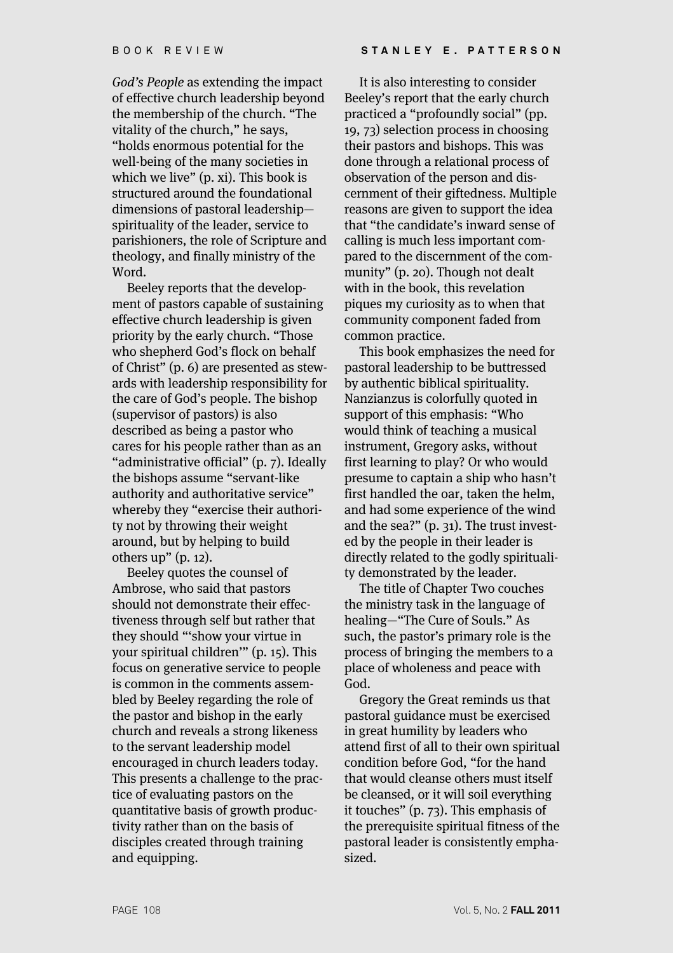God's People as extending the impact of effective church leadership beyond the membership of the church. "The vitality of the church," he says, "holds enormous potential for the well-being of the many societies in which we live" (p. xi). This book is structured around the foundational dimensions of pastoral leadership spirituality of the leader, service to parishioners, the role of Scripture and theology, and finally ministry of the Word.

Beeley reports that the development of pastors capable of sustaining effective church leadership is given priority by the early church. "Those who shepherd God's flock on behalf of Christ" (p. 6) are presented as stewards with leadership responsibility for the care of God's people. The bishop (supervisor of pastors) is also described as being a pastor who cares for his people rather than as an "administrative official" (p. 7). Ideally the bishops assume "servant-like authority and authoritative service" whereby they "exercise their authority not by throwing their weight around, but by helping to build others up" (p. 12).

Beeley quotes the counsel of Ambrose, who said that pastors should not demonstrate their effectiveness through self but rather that they should "'show your virtue in your spiritual children'" (p. 15). This focus on generative service to people is common in the comments assembled by Beeley regarding the role of the pastor and bishop in the early church and reveals a strong likeness to the servant leadership model encouraged in church leaders today. This presents a challenge to the practice of evaluating pastors on the quantitative basis of growth productivity rather than on the basis of disciples created through training and equipping.

It is also interesting to consider Beeley's report that the early church practiced a "profoundly social" (pp. 19, 73) selection process in choosing their pastors and bishops. This was done through a relational process of observation of the person and discernment of their giftedness. Multiple reasons are given to support the idea that "the candidate's inward sense of calling is much less important compared to the discernment of the community" (p. 20). Though not dealt with in the book, this revelation piques my curiosity as to when that community component faded from common practice.

This book emphasizes the need for pastoral leadership to be buttressed by authentic biblical spirituality. Nanzianzus is colorfully quoted in support of this emphasis: "Who would think of teaching a musical instrument, Gregory asks, without first learning to play? Or who would presume to captain a ship who hasn't first handled the oar, taken the helm, and had some experience of the wind and the sea?" (p. 31). The trust invested by the people in their leader is directly related to the godly spirituality demonstrated by the leader.

The title of Chapter Two couches the ministry task in the language of healing—"The Cure of Souls." As such, the pastor's primary role is the process of bringing the members to a place of wholeness and peace with God.

Gregory the Great reminds us that pastoral guidance must be exercised in great humility by leaders who attend first of all to their own spiritual condition before God, "for the hand that would cleanse others must itself be cleansed, or it will soil everything it touches" (p. 73). This emphasis of the prerequisite spiritual fitness of the pastoral leader is consistently emphasized.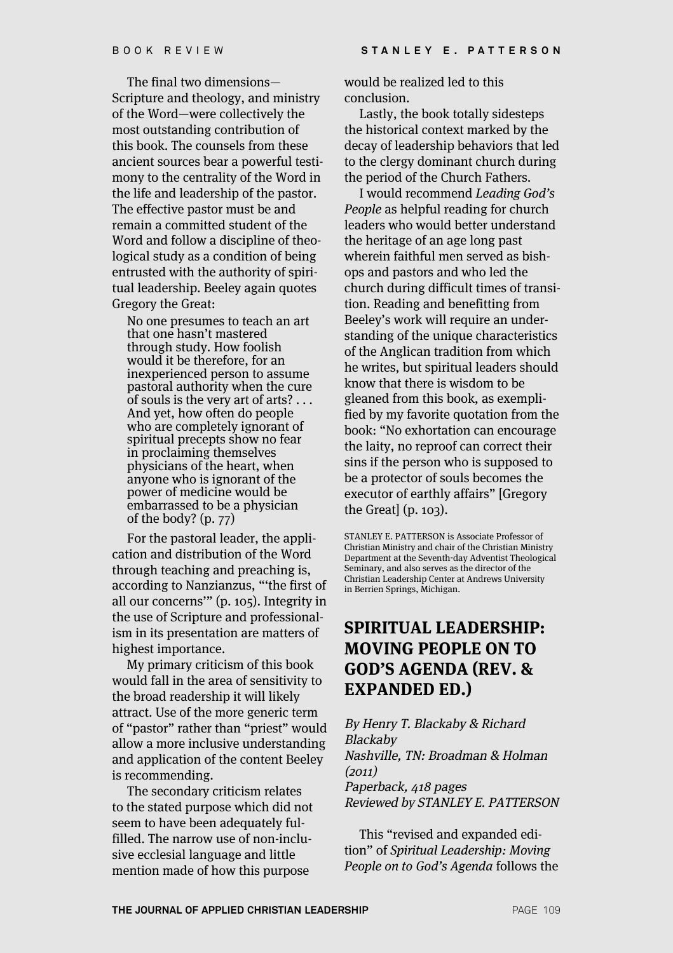The final two dimensions— Scripture and theology, and ministry of the Word—were collectively the most outstanding contribution of this book. The counsels from these ancient sources bear a powerful testimony to the centrality of the Word in the life and leadership of the pastor. The effective pastor must be and remain a committed student of the Word and follow a discipline of theological study as a condition of being entrusted with the authority of spiritual leadership. Beeley again quotes Gregory the Great:

No one presumes to teach an art that one hasn't mastered through study. How foolish would it be therefore, for an inexperienced person to assume pastoral authority when the cure of souls is the very art of arts? . . . And yet, how often do people who are completely ignorant of spiritual precepts show no fear in proclaiming themselves physicians of the heart, when anyone who is ignorant of the power of medicine would be embarrassed to be a physician of the body? (p. 77)

For the pastoral leader, the application and distribution of the Word through teaching and preaching is, according to Nanzianzus, "'the first of all our concerns'" (p. 105). Integrity in the use of Scripture and professionalism in its presentation are matters of highest importance.

My primary criticism of this book would fall in the area of sensitivity to the broad readership it will likely attract. Use of the more generic term of "pastor" rather than "priest" would allow a more inclusive understanding and application of the content Beeley is recommending.

The secondary criticism relates to the stated purpose which did not seem to have been adequately fulfilled. The narrow use of non-inclusive ecclesial language and little mention made of how this purpose

would be realized led to this conclusion.

Lastly, the book totally sidesteps the historical context marked by the decay of leadership behaviors that led to the clergy dominant church during the period of the Church Fathers.

I would recommend Leading God's People as helpful reading for church leaders who would better understand the heritage of an age long past wherein faithful men served as bishops and pastors and who led the church during difficult times of transition. Reading and benefitting from Beeley's work will require an understanding of the unique characteristics of the Anglican tradition from which he writes, but spiritual leaders should know that there is wisdom to be gleaned from this book, as exemplified by my favorite quotation from the book: "No exhortation can encourage the laity, no reproof can correct their sins if the person who is supposed to be a protector of souls becomes the executor of earthly affairs" [Gregory the Great] (p. 103).

STANLEY E. PATTERSON is Associate Professor of Christian Ministry and chair of the Christian Ministry Department at the Seventh-day Adventist Theological Seminary, and also serves as the director of the Christian Leadership Center at Andrews University in Berrien Springs, Michigan.

## **SPIRITUAL LEADERSHIP: MOVING PEOPLE ON TO GOD'S AGENDA (REV. & EXPANDED ED.)**

By Henry T. Blackaby & Richard Blackaby Nashville, TN: Broadman & Holman (2011) Paperback, 418 pages Reviewed by STANLEY E. PATTERSON

This "revised and expanded edition" of Spiritual Leadership: Moving People on to God's Agenda follows the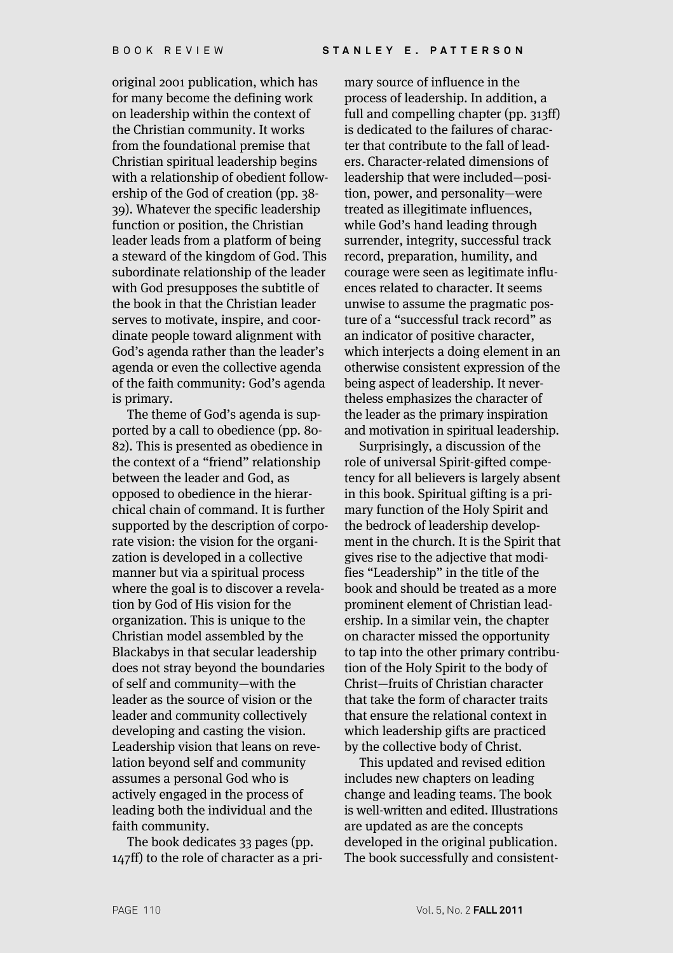original 2001 publication, which has for many become the defining work on leadership within the context of the Christian community. It works from the foundational premise that Christian spiritual leadership begins with a relationship of obedient followership of the God of creation (pp. 38- 39). Whatever the specific leadership function or position, the Christian leader leads from a platform of being a steward of the kingdom of God. This subordinate relationship of the leader with God presupposes the subtitle of the book in that the Christian leader serves to motivate, inspire, and coordinate people toward alignment with God's agenda rather than the leader's agenda or even the collective agenda of the faith community: God's agenda is primary.

The theme of God's agenda is supported by a call to obedience (pp. 80- 82). This is presented as obedience in the context of a "friend" relationship between the leader and God, as opposed to obedience in the hierarchical chain of command. It is further supported by the description of corporate vision: the vision for the organization is developed in a collective manner but via a spiritual process where the goal is to discover a revelation by God of His vision for the organization. This is unique to the Christian model assembled by the Blackabys in that secular leadership does not stray beyond the boundaries of self and community—with the leader as the source of vision or the leader and community collectively developing and casting the vision. Leadership vision that leans on revelation beyond self and community assumes a personal God who is actively engaged in the process of leading both the individual and the faith community.

The book dedicates 33 pages (pp. 147ff) to the role of character as a pri-

mary source of influence in the process of leadership. In addition, a full and compelling chapter (pp. 313ff) is dedicated to the failures of character that contribute to the fall of leaders. Character-related dimensions of leadership that were included—position, power, and personality—were treated as illegitimate influences, while God's hand leading through surrender, integrity, successful track record, preparation, humility, and courage were seen as legitimate influences related to character. It seems unwise to assume the pragmatic posture of a "successful track record" as an indicator of positive character, which interjects a doing element in an otherwise consistent expression of the being aspect of leadership. It nevertheless emphasizes the character of the leader as the primary inspiration and motivation in spiritual leadership.

Surprisingly, a discussion of the role of universal Spirit-gifted competency for all believers is largely absent in this book. Spiritual gifting is a primary function of the Holy Spirit and the bedrock of leadership development in the church. It is the Spirit that gives rise to the adjective that modifies "Leadership" in the title of the book and should be treated as a more prominent element of Christian leadership. In a similar vein, the chapter on character missed the opportunity to tap into the other primary contribution of the Holy Spirit to the body of Christ—fruits of Christian character that take the form of character traits that ensure the relational context in which leadership gifts are practiced by the collective body of Christ.

This updated and revised edition includes new chapters on leading change and leading teams. The book is well-written and edited. Illustrations are updated as are the concepts developed in the original publication. The book successfully and consistent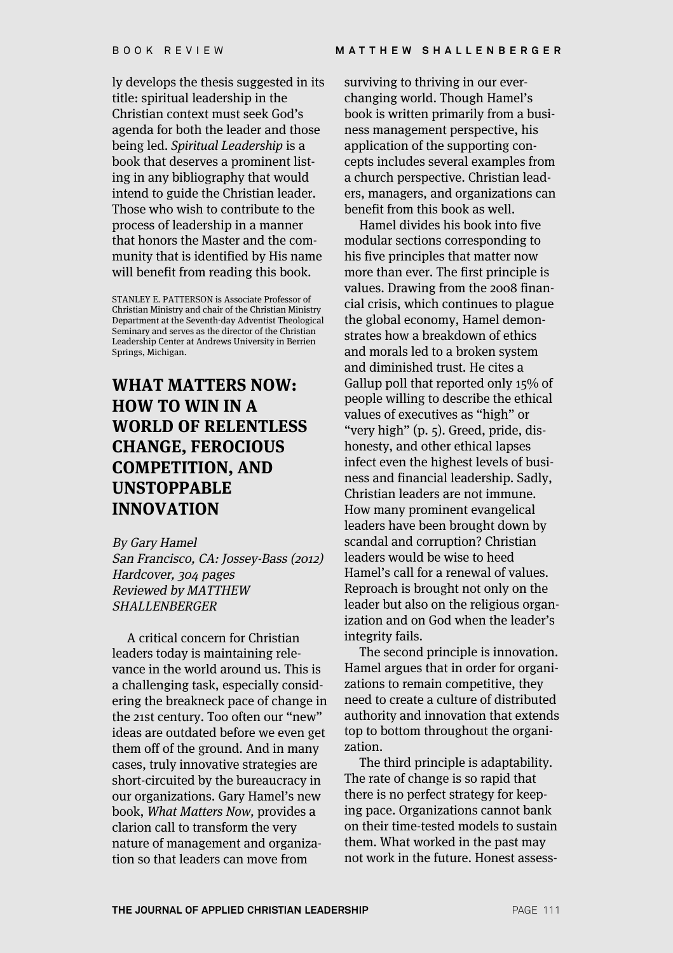ly develops the thesis suggested in its title: spiritual leadership in the Christian context must seek God's agenda for both the leader and those being led. Spiritual Leadership is a book that deserves a prominent listing in any bibliography that would intend to guide the Christian leader. Those who wish to contribute to the process of leadership in a manner that honors the Master and the community that is identified by His name will benefit from reading this book.

STANLEY E. PATTERSON is Associate Professor of Christian Ministry and chair of the Christian Ministry Department at the Seventh-day Adventist Theological Seminary and serves as the director of the Christian Leadership Center at Andrews University in Berrien Springs, Michigan.

# **WHAT MATTERS NOW: HOW TO WIN IN A WORLD OF RELENTLESS CHANGE, FEROCIOUS COMPETITION, AND UNSTOPPABLE INNOVATION**

By Gary Hamel San Francisco, CA: Jossey-Bass (2012) Hardcover, 304 pages Reviewed by MATTHEW SHALLENBERGER

A critical concern for Christian leaders today is maintaining relevance in the world around us. This is a challenging task, especially considering the breakneck pace of change in the 21st century. Too often our "new" ideas are outdated before we even get them off of the ground. And in many cases, truly innovative strategies are short-circuited by the bureaucracy in our organizations. Gary Hamel's new book, What Matters Now, provides a clarion call to transform the very nature of management and organization so that leaders can move from

surviving to thriving in our everchanging world. Though Hamel's book is written primarily from a business management perspective, his application of the supporting concepts includes several examples from a church perspective. Christian leaders, managers, and organizations can benefit from this book as well.

Hamel divides his book into five modular sections corresponding to his five principles that matter now more than ever. The first principle is values. Drawing from the 2008 financial crisis, which continues to plague the global economy, Hamel demonstrates how a breakdown of ethics and morals led to a broken system and diminished trust. He cites a Gallup poll that reported only 15% of people willing to describe the ethical values of executives as "high" or "very high" (p. 5). Greed, pride, dishonesty, and other ethical lapses infect even the highest levels of business and financial leadership. Sadly, Christian leaders are not immune. How many prominent evangelical leaders have been brought down by scandal and corruption? Christian leaders would be wise to heed Hamel's call for a renewal of values. Reproach is brought not only on the leader but also on the religious organization and on God when the leader's integrity fails.

The second principle is innovation. Hamel argues that in order for organizations to remain competitive, they need to create a culture of distributed authority and innovation that extends top to bottom throughout the organization.

The third principle is adaptability. The rate of change is so rapid that there is no perfect strategy for keeping pace. Organizations cannot bank on their time-tested models to sustain them. What worked in the past may not work in the future. Honest assess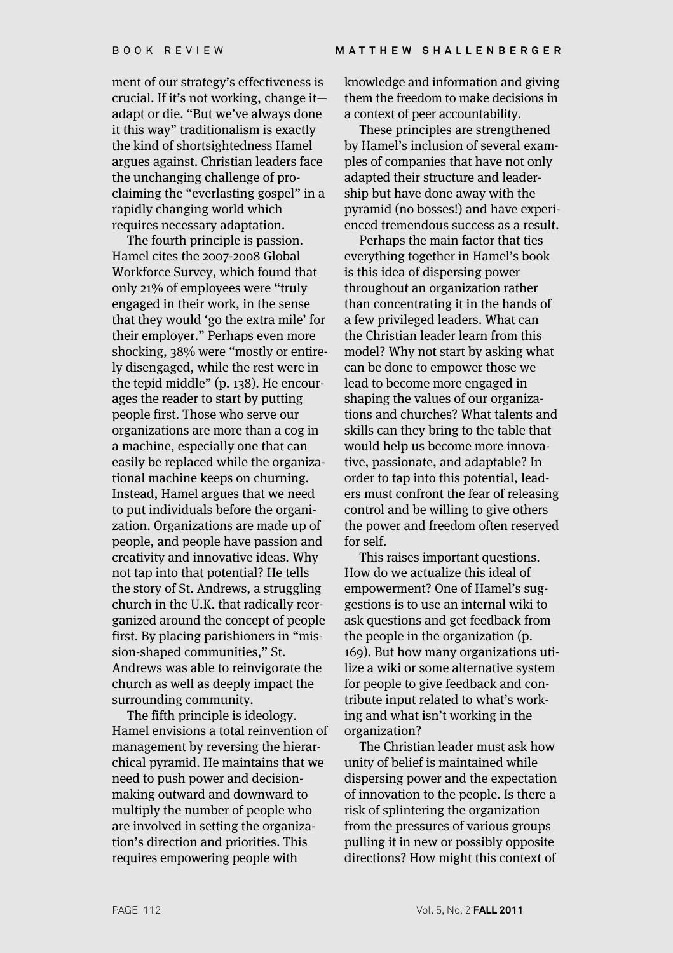ment of our strategy's effectiveness is crucial. If it's not working, change it adapt or die. "But we've always done it this way" traditionalism is exactly the kind of shortsightedness Hamel argues against. Christian leaders face the unchanging challenge of proclaiming the "everlasting gospel" in a rapidly changing world which requires necessary adaptation.

The fourth principle is passion. Hamel cites the 2007-2008 Global Workforce Survey, which found that only 21% of employees were "truly engaged in their work, in the sense that they would 'go the extra mile' for their employer." Perhaps even more shocking, 38% were "mostly or entirely disengaged, while the rest were in the tepid middle" (p. 138). He encourages the reader to start by putting people first. Those who serve our organizations are more than a cog in a machine, especially one that can easily be replaced while the organizational machine keeps on churning. Instead, Hamel argues that we need to put individuals before the organization. Organizations are made up of people, and people have passion and creativity and innovative ideas. Why not tap into that potential? He tells the story of St. Andrews, a struggling church in the U.K. that radically reorganized around the concept of people first. By placing parishioners in "mission-shaped communities," St. Andrews was able to reinvigorate the church as well as deeply impact the surrounding community.

The fifth principle is ideology. Hamel envisions a total reinvention of management by reversing the hierarchical pyramid. He maintains that we need to push power and decisionmaking outward and downward to multiply the number of people who are involved in setting the organization's direction and priorities. This requires empowering people with

knowledge and information and giving them the freedom to make decisions in a context of peer accountability.

These principles are strengthened by Hamel's inclusion of several examples of companies that have not only adapted their structure and leadership but have done away with the pyramid (no bosses!) and have experienced tremendous success as a result.

Perhaps the main factor that ties everything together in Hamel's book is this idea of dispersing power throughout an organization rather than concentrating it in the hands of a few privileged leaders. What can the Christian leader learn from this model? Why not start by asking what can be done to empower those we lead to become more engaged in shaping the values of our organizations and churches? What talents and skills can they bring to the table that would help us become more innovative, passionate, and adaptable? In order to tap into this potential, leaders must confront the fear of releasing control and be willing to give others the power and freedom often reserved for self.

This raises important questions. How do we actualize this ideal of empowerment? One of Hamel's suggestions is to use an internal wiki to ask questions and get feedback from the people in the organization (p. 169). But how many organizations utilize a wiki or some alternative system for people to give feedback and contribute input related to what's working and what isn't working in the organization?

The Christian leader must ask how unity of belief is maintained while dispersing power and the expectation of innovation to the people. Is there a risk of splintering the organization from the pressures of various groups pulling it in new or possibly opposite directions? How might this context of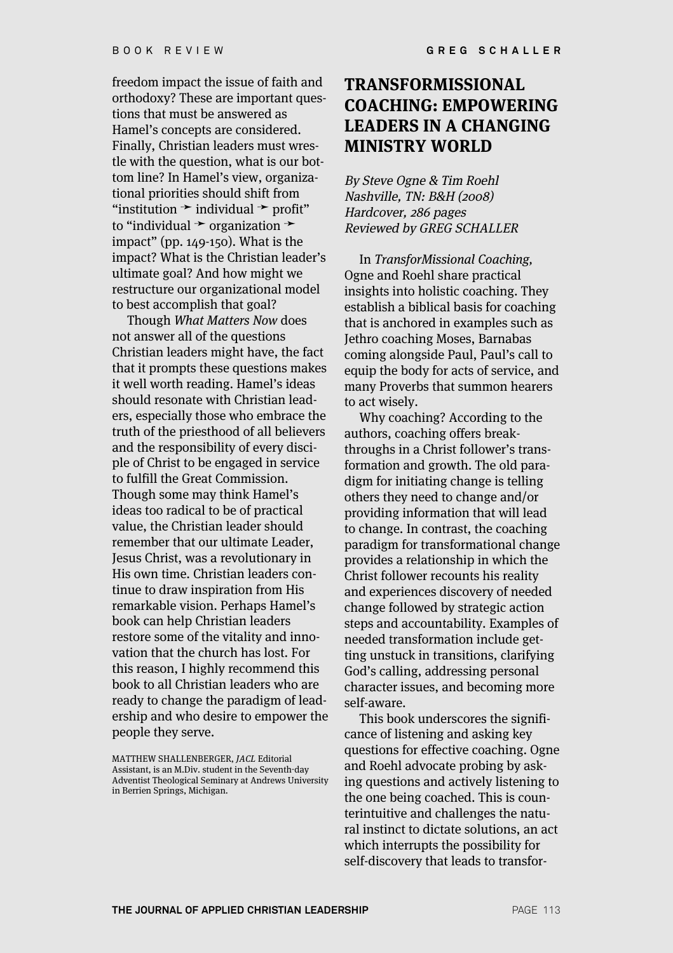freedom impact the issue of faith and orthodoxy? These are important questions that must be answered as Hamel's concepts are considered. Finally, Christian leaders must wrestle with the question, what is our bottom line? In Hamel's view, organizational priorities should shift from "institution  $\rightarrow$  individual  $\rightarrow$  profit" to "individual ➛ organization ➛ impact" (pp. 149-150). What is the impact? What is the Christian leader's ultimate goal? And how might we restructure our organizational model to best accomplish that goal?

Though What Matters Now does not answer all of the questions Christian leaders might have, the fact that it prompts these questions makes it well worth reading. Hamel's ideas should resonate with Christian leaders, especially those who embrace the truth of the priesthood of all believers and the responsibility of every disciple of Christ to be engaged in service to fulfill the Great Commission. Though some may think Hamel's ideas too radical to be of practical value, the Christian leader should remember that our ultimate Leader, Jesus Christ, was a revolutionary in His own time. Christian leaders continue to draw inspiration from His remarkable vision. Perhaps Hamel's book can help Christian leaders restore some of the vitality and innovation that the church has lost. For this reason, I highly recommend this book to all Christian leaders who are ready to change the paradigm of leadership and who desire to empower the people they serve.

MATTHEW SHALLENBERGER, JACL Editorial Assistant, is an M.Div. student in the Seventh-day Adventist Theological Seminary at Andrews University in Berrien Springs, Michigan.

### **TRANSFORMISSIONAL COACHING: EMPOWERING LEADERS IN A CHANGING MINISTRY WORLD**

By Steve Ogne & Tim Roehl Nashville, TN: B&H (2008) Hardcover, 286 pages Reviewed by GREG SCHALLER

In TransforMissional Coaching, Ogne and Roehl share practical insights into holistic coaching. They establish a biblical basis for coaching that is anchored in examples such as Jethro coaching Moses, Barnabas coming alongside Paul, Paul's call to equip the body for acts of service, and many Proverbs that summon hearers to act wisely.

Why coaching? According to the authors, coaching offers breakthroughs in a Christ follower's transformation and growth. The old paradigm for initiating change is telling others they need to change and/or providing information that will lead to change. In contrast, the coaching paradigm for transformational change provides a relationship in which the Christ follower recounts his reality and experiences discovery of needed change followed by strategic action steps and accountability. Examples of needed transformation include getting unstuck in transitions, clarifying God's calling, addressing personal character issues, and becoming more self-aware.

This book underscores the significance of listening and asking key questions for effective coaching. Ogne and Roehl advocate probing by asking questions and actively listening to the one being coached. This is counterintuitive and challenges the natural instinct to dictate solutions, an act which interrupts the possibility for self-discovery that leads to transfor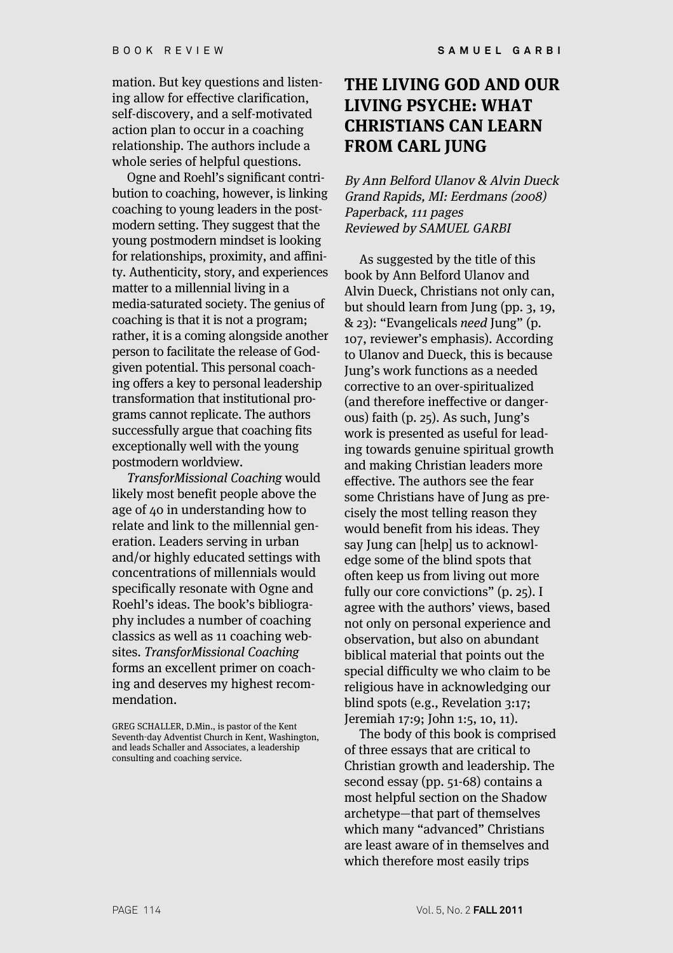mation. But key questions and listening allow for effective clarification, self-discovery, and a self-motivated action plan to occur in a coaching relationship. The authors include a whole series of helpful questions.

Ogne and Roehl's significant contribution to coaching, however, is linking coaching to young leaders in the postmodern setting. They suggest that the young postmodern mindset is looking for relationships, proximity, and affinity. Authenticity, story, and experiences matter to a millennial living in a media-saturated society. The genius of coaching is that it is not a program; rather, it is a coming alongside another person to facilitate the release of Godgiven potential. This personal coaching offers a key to personal leadership transformation that institutional programs cannot replicate. The authors successfully argue that coaching fits exceptionally well with the young postmodern worldview.

TransforMissional Coaching would likely most benefit people above the age of 40 in understanding how to relate and link to the millennial generation. Leaders serving in urban and/or highly educated settings with concentrations of millennials would specifically resonate with Ogne and Roehl's ideas. The book's bibliography includes a number of coaching classics as well as 11 coaching websites. TransforMissional Coaching forms an excellent primer on coaching and deserves my highest recommendation.

## **THE LIVING GOD AND OUR LIVING PSYCHE: WHAT CHRISTIANS CAN LEARN FROM CARL JUNG**

By Ann Belford Ulanov & Alvin Dueck Grand Rapids, MI: Eerdmans (2008) Paperback, 111 pages Reviewed by SAMUEL GARBI

As suggested by the title of this book by Ann Belford Ulanov and Alvin Dueck, Christians not only can, but should learn from Jung (pp. 3, 19, & 23): "Evangelicals need Jung" (p. 107, reviewer's emphasis). According to Ulanov and Dueck, this is because Jung's work functions as a needed corrective to an over-spiritualized (and therefore ineffective or dangerous) faith (p. 25). As such, Jung's work is presented as useful for leading towards genuine spiritual growth and making Christian leaders more effective. The authors see the fear some Christians have of Jung as precisely the most telling reason they would benefit from his ideas. They say Jung can [help] us to acknowledge some of the blind spots that often keep us from living out more fully our core convictions" (p. 25). I agree with the authors' views, based not only on personal experience and observation, but also on abundant biblical material that points out the special difficulty we who claim to be religious have in acknowledging our blind spots (e.g., Revelation 3:17; Jeremiah 17:9; John 1:5, 10, 11).

The body of this book is comprised of three essays that are critical to Christian growth and leadership. The second essay (pp. 51-68) contains a most helpful section on the Shadow archetype—that part of themselves which many "advanced" Christians are least aware of in themselves and which therefore most easily trips

GREG SCHALLER, D.Min., is pastor of the Kent Seventh-day Adventist Church in Kent, Washington, and leads Schaller and Associates, a leadership consulting and coaching service.